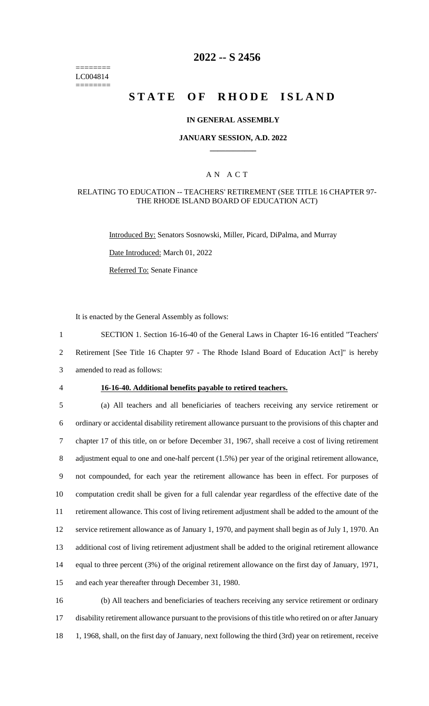======== LC004814 ========

## **2022 -- S 2456**

# **STATE OF RHODE ISLAND**

### **IN GENERAL ASSEMBLY**

### **JANUARY SESSION, A.D. 2022 \_\_\_\_\_\_\_\_\_\_\_\_**

### A N A C T

### RELATING TO EDUCATION -- TEACHERS' RETIREMENT (SEE TITLE 16 CHAPTER 97- THE RHODE ISLAND BOARD OF EDUCATION ACT)

Introduced By: Senators Sosnowski, Miller, Picard, DiPalma, and Murray

Date Introduced: March 01, 2022

Referred To: Senate Finance

It is enacted by the General Assembly as follows:

1 SECTION 1. Section 16-16-40 of the General Laws in Chapter 16-16 entitled "Teachers' 2 Retirement [See Title 16 Chapter 97 - The Rhode Island Board of Education Act]" is hereby

3 amended to read as follows:

#### 4 **16-16-40. Additional benefits payable to retired teachers.**

 (a) All teachers and all beneficiaries of teachers receiving any service retirement or ordinary or accidental disability retirement allowance pursuant to the provisions of this chapter and chapter 17 of this title, on or before December 31, 1967, shall receive a cost of living retirement 8 adjustment equal to one and one-half percent (1.5%) per year of the original retirement allowance, not compounded, for each year the retirement allowance has been in effect. For purposes of computation credit shall be given for a full calendar year regardless of the effective date of the retirement allowance. This cost of living retirement adjustment shall be added to the amount of the service retirement allowance as of January 1, 1970, and payment shall begin as of July 1, 1970. An additional cost of living retirement adjustment shall be added to the original retirement allowance equal to three percent (3%) of the original retirement allowance on the first day of January, 1971, and each year thereafter through December 31, 1980.

16 (b) All teachers and beneficiaries of teachers receiving any service retirement or ordinary 17 disability retirement allowance pursuant to the provisions of this title who retired on or after January 18 1, 1968, shall, on the first day of January, next following the third (3rd) year on retirement, receive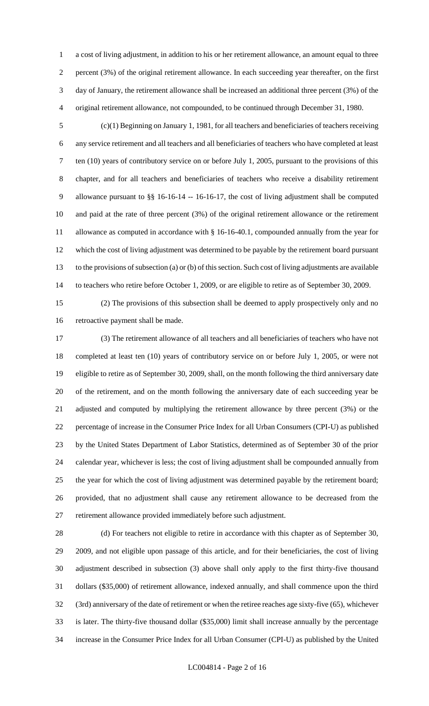a cost of living adjustment, in addition to his or her retirement allowance, an amount equal to three percent (3%) of the original retirement allowance. In each succeeding year thereafter, on the first day of January, the retirement allowance shall be increased an additional three percent (3%) of the original retirement allowance, not compounded, to be continued through December 31, 1980.

 (c)(1) Beginning on January 1, 1981, for all teachers and beneficiaries of teachers receiving any service retirement and all teachers and all beneficiaries of teachers who have completed at least ten (10) years of contributory service on or before July 1, 2005, pursuant to the provisions of this chapter, and for all teachers and beneficiaries of teachers who receive a disability retirement allowance pursuant to §§ 16-16-14 -- 16-16-17, the cost of living adjustment shall be computed and paid at the rate of three percent (3%) of the original retirement allowance or the retirement allowance as computed in accordance with § 16-16-40.1, compounded annually from the year for which the cost of living adjustment was determined to be payable by the retirement board pursuant to the provisions of subsection (a) or (b) of this section. Such cost of living adjustments are available to teachers who retire before October 1, 2009, or are eligible to retire as of September 30, 2009.

(2) The provisions of this subsection shall be deemed to apply prospectively only and no

retroactive payment shall be made.

 (3) The retirement allowance of all teachers and all beneficiaries of teachers who have not completed at least ten (10) years of contributory service on or before July 1, 2005, or were not eligible to retire as of September 30, 2009, shall, on the month following the third anniversary date of the retirement, and on the month following the anniversary date of each succeeding year be adjusted and computed by multiplying the retirement allowance by three percent (3%) or the percentage of increase in the Consumer Price Index for all Urban Consumers (CPI-U) as published by the United States Department of Labor Statistics, determined as of September 30 of the prior calendar year, whichever is less; the cost of living adjustment shall be compounded annually from the year for which the cost of living adjustment was determined payable by the retirement board; provided, that no adjustment shall cause any retirement allowance to be decreased from the retirement allowance provided immediately before such adjustment.

 (d) For teachers not eligible to retire in accordance with this chapter as of September 30, 2009, and not eligible upon passage of this article, and for their beneficiaries, the cost of living adjustment described in subsection (3) above shall only apply to the first thirty-five thousand dollars (\$35,000) of retirement allowance, indexed annually, and shall commence upon the third (3rd) anniversary of the date of retirement or when the retiree reaches age sixty-five (65), whichever is later. The thirty-five thousand dollar (\$35,000) limit shall increase annually by the percentage increase in the Consumer Price Index for all Urban Consumer (CPI-U) as published by the United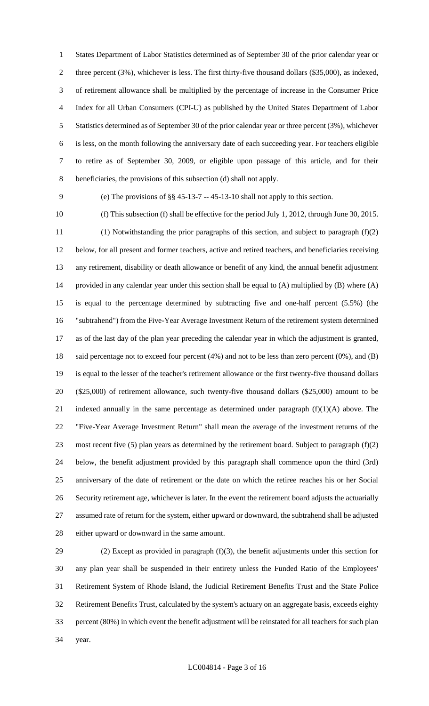States Department of Labor Statistics determined as of September 30 of the prior calendar year or three percent (3%), whichever is less. The first thirty-five thousand dollars (\$35,000), as indexed, of retirement allowance shall be multiplied by the percentage of increase in the Consumer Price Index for all Urban Consumers (CPI-U) as published by the United States Department of Labor Statistics determined as of September 30 of the prior calendar year or three percent (3%), whichever is less, on the month following the anniversary date of each succeeding year. For teachers eligible to retire as of September 30, 2009, or eligible upon passage of this article, and for their beneficiaries, the provisions of this subsection (d) shall not apply.

(e) The provisions of §§ 45-13-7 -- 45-13-10 shall not apply to this section.

 (f) This subsection (f) shall be effective for the period July 1, 2012, through June 30, 2015. (1) Notwithstanding the prior paragraphs of this section, and subject to paragraph (f)(2) below, for all present and former teachers, active and retired teachers, and beneficiaries receiving any retirement, disability or death allowance or benefit of any kind, the annual benefit adjustment provided in any calendar year under this section shall be equal to (A) multiplied by (B) where (A) is equal to the percentage determined by subtracting five and one-half percent (5.5%) (the "subtrahend") from the Five-Year Average Investment Return of the retirement system determined as of the last day of the plan year preceding the calendar year in which the adjustment is granted, said percentage not to exceed four percent (4%) and not to be less than zero percent (0%), and (B) is equal to the lesser of the teacher's retirement allowance or the first twenty-five thousand dollars (\$25,000) of retirement allowance, such twenty-five thousand dollars (\$25,000) amount to be 21 indexed annually in the same percentage as determined under paragraph  $(f)(1)(A)$  above. The "Five-Year Average Investment Return" shall mean the average of the investment returns of the 23 most recent five (5) plan years as determined by the retirement board. Subject to paragraph  $(f)(2)$  below, the benefit adjustment provided by this paragraph shall commence upon the third (3rd) anniversary of the date of retirement or the date on which the retiree reaches his or her Social Security retirement age, whichever is later. In the event the retirement board adjusts the actuarially assumed rate of return for the system, either upward or downward, the subtrahend shall be adjusted either upward or downward in the same amount.

 (2) Except as provided in paragraph (f)(3), the benefit adjustments under this section for any plan year shall be suspended in their entirety unless the Funded Ratio of the Employees' Retirement System of Rhode Island, the Judicial Retirement Benefits Trust and the State Police Retirement Benefits Trust, calculated by the system's actuary on an aggregate basis, exceeds eighty percent (80%) in which event the benefit adjustment will be reinstated for all teachers for such plan year.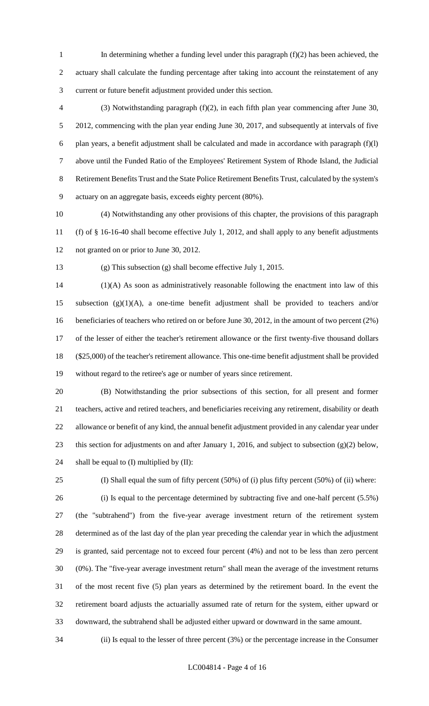- In determining whether a funding level under this paragraph (f)(2) has been achieved, the actuary shall calculate the funding percentage after taking into account the reinstatement of any current or future benefit adjustment provided under this section.
- (3) Notwithstanding paragraph (f)(2), in each fifth plan year commencing after June 30, 5 2012, commencing with the plan year ending June 30, 2017, and subsequently at intervals of five 6 plan years, a benefit adjustment shall be calculated and made in accordance with paragraph  $(f)(l)$  above until the Funded Ratio of the Employees' Retirement System of Rhode Island, the Judicial Retirement Benefits Trust and the State Police Retirement Benefits Trust, calculated by the system's actuary on an aggregate basis, exceeds eighty percent (80%).
- (4) Notwithstanding any other provisions of this chapter, the provisions of this paragraph (f) of § 16-16-40 shall become effective July 1, 2012, and shall apply to any benefit adjustments not granted on or prior to June 30, 2012.
- 

(g) This subsection (g) shall become effective July 1, 2015.

 (1)(A) As soon as administratively reasonable following the enactment into law of this subsection (g)(1)(A), a one-time benefit adjustment shall be provided to teachers and/or 16 beneficiaries of teachers who retired on or before June 30, 2012, in the amount of two percent (2%) of the lesser of either the teacher's retirement allowance or the first twenty-five thousand dollars (\$25,000) of the teacher's retirement allowance. This one-time benefit adjustment shall be provided without regard to the retiree's age or number of years since retirement.

- (B) Notwithstanding the prior subsections of this section, for all present and former teachers, active and retired teachers, and beneficiaries receiving any retirement, disability or death allowance or benefit of any kind, the annual benefit adjustment provided in any calendar year under this section for adjustments on and after January 1, 2016, and subject to subsection (g)(2) below, 24 shall be equal to (I) multiplied by (II):
- (I) Shall equal the sum of fifty percent (50%) of (i) plus fifty percent (50%) of (ii) where: (i) Is equal to the percentage determined by subtracting five and one-half percent (5.5%) (the "subtrahend") from the five-year average investment return of the retirement system determined as of the last day of the plan year preceding the calendar year in which the adjustment is granted, said percentage not to exceed four percent (4%) and not to be less than zero percent (0%). The "five-year average investment return" shall mean the average of the investment returns of the most recent five (5) plan years as determined by the retirement board. In the event the retirement board adjusts the actuarially assumed rate of return for the system, either upward or downward, the subtrahend shall be adjusted either upward or downward in the same amount.

(ii) Is equal to the lesser of three percent (3%) or the percentage increase in the Consumer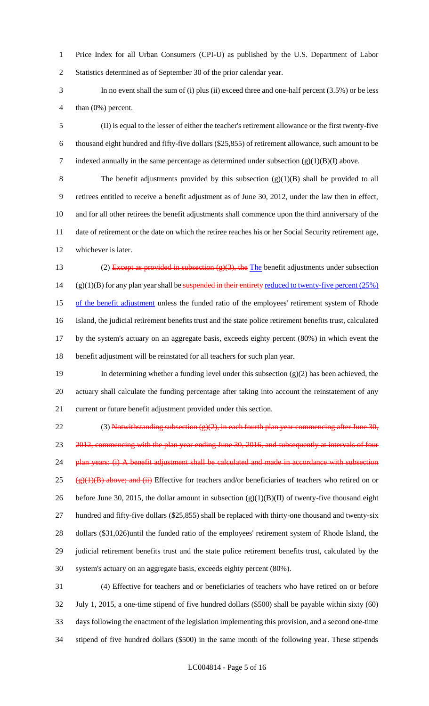Price Index for all Urban Consumers (CPI-U) as published by the U.S. Department of Labor Statistics determined as of September 30 of the prior calendar year.

 In no event shall the sum of (i) plus (ii) exceed three and one-half percent (3.5%) or be less than (0%) percent.

 (II) is equal to the lesser of either the teacher's retirement allowance or the first twenty-five thousand eight hundred and fifty-five dollars (\$25,855) of retirement allowance, such amount to be 7 indexed annually in the same percentage as determined under subsection  $(g)(1)(B)(I)$  above.

 The benefit adjustments provided by this subsection (g)(1)(B) shall be provided to all retirees entitled to receive a benefit adjustment as of June 30, 2012, under the law then in effect, and for all other retirees the benefit adjustments shall commence upon the third anniversary of the date of retirement or the date on which the retiree reaches his or her Social Security retirement age, whichever is later.

13 (2) Except as provided in subsection  $(g)(3)$ , the The benefit adjustments under subsection 14 (g)(1)(B) for any plan year shall be suspended in their entirety reduced to twenty-five percent  $(25%)$ 15 of the benefit adjustment unless the funded ratio of the employees' retirement system of Rhode Island, the judicial retirement benefits trust and the state police retirement benefits trust, calculated by the system's actuary on an aggregate basis, exceeds eighty percent (80%) in which event the benefit adjustment will be reinstated for all teachers for such plan year.

 In determining whether a funding level under this subsection (g)(2) has been achieved, the actuary shall calculate the funding percentage after taking into account the reinstatement of any current or future benefit adjustment provided under this section.

22 (3) Notwithstanding subsection  $(g)(2)$ , in each fourth plan year commencing after June 30, 23 2012, commencing with the plan year ending June 30, 2016, and subsequently at intervals of four 24 plan years: (i) A benefit adjustment shall be calculated and made in accordance with subsection 25 ( $\frac{(\mathbf{P})(1)(\mathbf{B})}{(\mathbf{B})}$  above; and (ii) Effective for teachers and/or beneficiaries of teachers who retired on or 26 before June 30, 2015, the dollar amount in subsection  $(g)(1)(B)(II)$  of twenty-five thousand eight hundred and fifty-five dollars (\$25,855) shall be replaced with thirty-one thousand and twenty-six dollars (\$31,026)until the funded ratio of the employees' retirement system of Rhode Island, the judicial retirement benefits trust and the state police retirement benefits trust, calculated by the system's actuary on an aggregate basis, exceeds eighty percent (80%).

 (4) Effective for teachers and or beneficiaries of teachers who have retired on or before July 1, 2015, a one-time stipend of five hundred dollars (\$500) shall be payable within sixty (60) days following the enactment of the legislation implementing this provision, and a second one-time stipend of five hundred dollars (\$500) in the same month of the following year. These stipends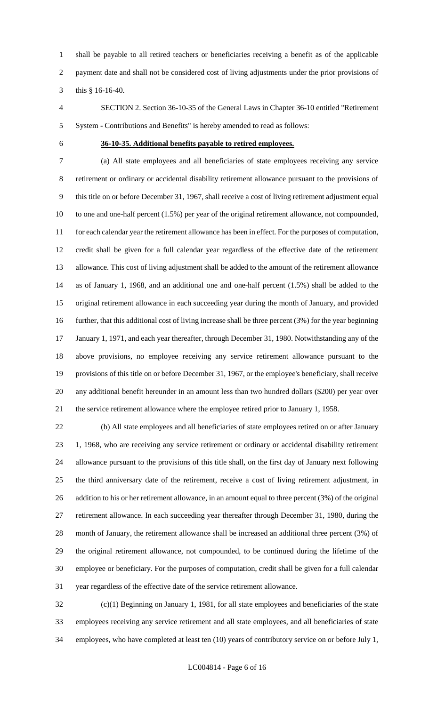shall be payable to all retired teachers or beneficiaries receiving a benefit as of the applicable payment date and shall not be considered cost of living adjustments under the prior provisions of this § 16-16-40.

 SECTION 2. Section 36-10-35 of the General Laws in Chapter 36-10 entitled "Retirement System - Contributions and Benefits" is hereby amended to read as follows:

### **36-10-35. Additional benefits payable to retired employees.**

 (a) All state employees and all beneficiaries of state employees receiving any service retirement or ordinary or accidental disability retirement allowance pursuant to the provisions of this title on or before December 31, 1967, shall receive a cost of living retirement adjustment equal to one and one-half percent (1.5%) per year of the original retirement allowance, not compounded, for each calendar year the retirement allowance has been in effect. For the purposes of computation, credit shall be given for a full calendar year regardless of the effective date of the retirement allowance. This cost of living adjustment shall be added to the amount of the retirement allowance as of January 1, 1968, and an additional one and one-half percent (1.5%) shall be added to the original retirement allowance in each succeeding year during the month of January, and provided further, that this additional cost of living increase shall be three percent (3%) for the year beginning January 1, 1971, and each year thereafter, through December 31, 1980. Notwithstanding any of the above provisions, no employee receiving any service retirement allowance pursuant to the provisions of this title on or before December 31, 1967, or the employee's beneficiary, shall receive any additional benefit hereunder in an amount less than two hundred dollars (\$200) per year over the service retirement allowance where the employee retired prior to January 1, 1958.

 (b) All state employees and all beneficiaries of state employees retired on or after January 1, 1968, who are receiving any service retirement or ordinary or accidental disability retirement allowance pursuant to the provisions of this title shall, on the first day of January next following the third anniversary date of the retirement, receive a cost of living retirement adjustment, in 26 addition to his or her retirement allowance, in an amount equal to three percent (3%) of the original retirement allowance. In each succeeding year thereafter through December 31, 1980, during the month of January, the retirement allowance shall be increased an additional three percent (3%) of the original retirement allowance, not compounded, to be continued during the lifetime of the employee or beneficiary. For the purposes of computation, credit shall be given for a full calendar year regardless of the effective date of the service retirement allowance.

 (c)(1) Beginning on January 1, 1981, for all state employees and beneficiaries of the state employees receiving any service retirement and all state employees, and all beneficiaries of state employees, who have completed at least ten (10) years of contributory service on or before July 1,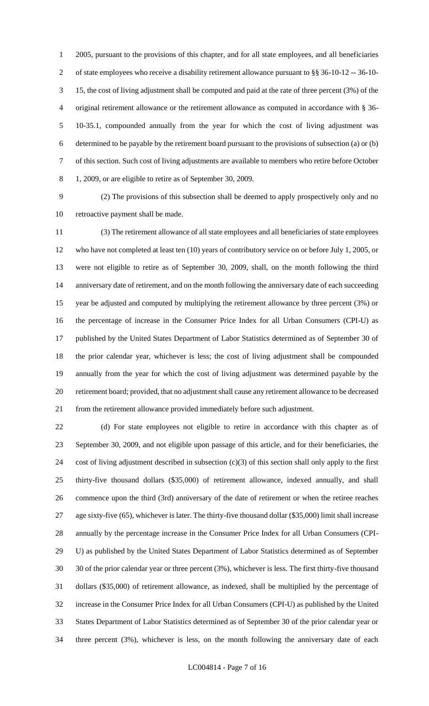2005, pursuant to the provisions of this chapter, and for all state employees, and all beneficiaries of state employees who receive a disability retirement allowance pursuant to §§ 36-10-12 -- 36-10- 15, the cost of living adjustment shall be computed and paid at the rate of three percent (3%) of the original retirement allowance or the retirement allowance as computed in accordance with § 36- 10-35.1, compounded annually from the year for which the cost of living adjustment was determined to be payable by the retirement board pursuant to the provisions of subsection (a) or (b) of this section. Such cost of living adjustments are available to members who retire before October 1, 2009, or are eligible to retire as of September 30, 2009.

 (2) The provisions of this subsection shall be deemed to apply prospectively only and no retroactive payment shall be made.

 (3) The retirement allowance of all state employees and all beneficiaries of state employees who have not completed at least ten (10) years of contributory service on or before July 1, 2005, or were not eligible to retire as of September 30, 2009, shall, on the month following the third anniversary date of retirement, and on the month following the anniversary date of each succeeding year be adjusted and computed by multiplying the retirement allowance by three percent (3%) or the percentage of increase in the Consumer Price Index for all Urban Consumers (CPI-U) as published by the United States Department of Labor Statistics determined as of September 30 of the prior calendar year, whichever is less; the cost of living adjustment shall be compounded annually from the year for which the cost of living adjustment was determined payable by the retirement board; provided, that no adjustment shall cause any retirement allowance to be decreased from the retirement allowance provided immediately before such adjustment.

 (d) For state employees not eligible to retire in accordance with this chapter as of September 30, 2009, and not eligible upon passage of this article, and for their beneficiaries, the cost of living adjustment described in subsection (c)(3) of this section shall only apply to the first thirty-five thousand dollars (\$35,000) of retirement allowance, indexed annually, and shall commence upon the third (3rd) anniversary of the date of retirement or when the retiree reaches age sixty-five (65), whichever is later. The thirty-five thousand dollar (\$35,000) limit shall increase annually by the percentage increase in the Consumer Price Index for all Urban Consumers (CPI- U) as published by the United States Department of Labor Statistics determined as of September 30 of the prior calendar year or three percent (3%), whichever is less. The first thirty-five thousand dollars (\$35,000) of retirement allowance, as indexed, shall be multiplied by the percentage of increase in the Consumer Price Index for all Urban Consumers (CPI-U) as published by the United States Department of Labor Statistics determined as of September 30 of the prior calendar year or three percent (3%), whichever is less, on the month following the anniversary date of each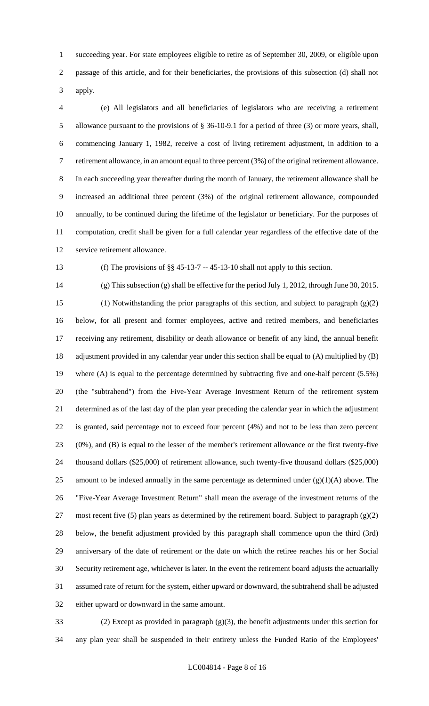succeeding year. For state employees eligible to retire as of September 30, 2009, or eligible upon passage of this article, and for their beneficiaries, the provisions of this subsection (d) shall not apply.

 (e) All legislators and all beneficiaries of legislators who are receiving a retirement allowance pursuant to the provisions of § 36-10-9.1 for a period of three (3) or more years, shall, commencing January 1, 1982, receive a cost of living retirement adjustment, in addition to a retirement allowance, in an amount equal to three percent (3%) of the original retirement allowance. In each succeeding year thereafter during the month of January, the retirement allowance shall be increased an additional three percent (3%) of the original retirement allowance, compounded annually, to be continued during the lifetime of the legislator or beneficiary. For the purposes of computation, credit shall be given for a full calendar year regardless of the effective date of the service retirement allowance.

(f) The provisions of §§ 45-13-7 -- 45-13-10 shall not apply to this section.

 (g) This subsection (g) shall be effective for the period July 1, 2012, through June 30, 2015. (1) Notwithstanding the prior paragraphs of this section, and subject to paragraph (g)(2) below, for all present and former employees, active and retired members, and beneficiaries receiving any retirement, disability or death allowance or benefit of any kind, the annual benefit adjustment provided in any calendar year under this section shall be equal to (A) multiplied by (B) where (A) is equal to the percentage determined by subtracting five and one-half percent (5.5%) (the "subtrahend") from the Five-Year Average Investment Return of the retirement system determined as of the last day of the plan year preceding the calendar year in which the adjustment is granted, said percentage not to exceed four percent (4%) and not to be less than zero percent (0%), and (B) is equal to the lesser of the member's retirement allowance or the first twenty-five thousand dollars (\$25,000) of retirement allowance, such twenty-five thousand dollars (\$25,000) 25 amount to be indexed annually in the same percentage as determined under  $(g)(1)(A)$  above. The "Five-Year Average Investment Return" shall mean the average of the investment returns of the 27 most recent five (5) plan years as determined by the retirement board. Subject to paragraph  $(g)(2)$  below, the benefit adjustment provided by this paragraph shall commence upon the third (3rd) anniversary of the date of retirement or the date on which the retiree reaches his or her Social Security retirement age, whichever is later. In the event the retirement board adjusts the actuarially assumed rate of return for the system, either upward or downward, the subtrahend shall be adjusted either upward or downward in the same amount.

 (2) Except as provided in paragraph (g)(3), the benefit adjustments under this section for any plan year shall be suspended in their entirety unless the Funded Ratio of the Employees'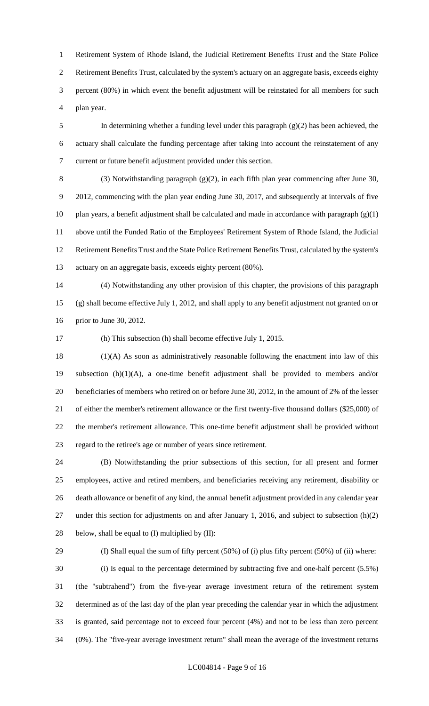Retirement System of Rhode Island, the Judicial Retirement Benefits Trust and the State Police Retirement Benefits Trust, calculated by the system's actuary on an aggregate basis, exceeds eighty percent (80%) in which event the benefit adjustment will be reinstated for all members for such plan year.

 In determining whether a funding level under this paragraph (g)(2) has been achieved, the actuary shall calculate the funding percentage after taking into account the reinstatement of any current or future benefit adjustment provided under this section.

 (3) Notwithstanding paragraph (g)(2), in each fifth plan year commencing after June 30, 2012, commencing with the plan year ending June 30, 2017, and subsequently at intervals of five 10 plan years, a benefit adjustment shall be calculated and made in accordance with paragraph  $(g)(1)$  above until the Funded Ratio of the Employees' Retirement System of Rhode Island, the Judicial Retirement Benefits Trust and the State Police Retirement Benefits Trust, calculated by the system's actuary on an aggregate basis, exceeds eighty percent (80%).

 (4) Notwithstanding any other provision of this chapter, the provisions of this paragraph (g) shall become effective July 1, 2012, and shall apply to any benefit adjustment not granted on or prior to June 30, 2012.

(h) This subsection (h) shall become effective July 1, 2015.

 (1)(A) As soon as administratively reasonable following the enactment into law of this subsection (h)(1)(A), a one-time benefit adjustment shall be provided to members and/or beneficiaries of members who retired on or before June 30, 2012, in the amount of 2% of the lesser of either the member's retirement allowance or the first twenty-five thousand dollars (\$25,000) of the member's retirement allowance. This one-time benefit adjustment shall be provided without regard to the retiree's age or number of years since retirement.

 (B) Notwithstanding the prior subsections of this section, for all present and former employees, active and retired members, and beneficiaries receiving any retirement, disability or death allowance or benefit of any kind, the annual benefit adjustment provided in any calendar year under this section for adjustments on and after January 1, 2016, and subject to subsection (h)(2) 28 below, shall be equal to  $(I)$  multiplied by  $(II)$ :

 (I) Shall equal the sum of fifty percent (50%) of (i) plus fifty percent (50%) of (ii) where: (i) Is equal to the percentage determined by subtracting five and one-half percent (5.5%) (the "subtrahend") from the five-year average investment return of the retirement system determined as of the last day of the plan year preceding the calendar year in which the adjustment is granted, said percentage not to exceed four percent (4%) and not to be less than zero percent (0%). The "five-year average investment return" shall mean the average of the investment returns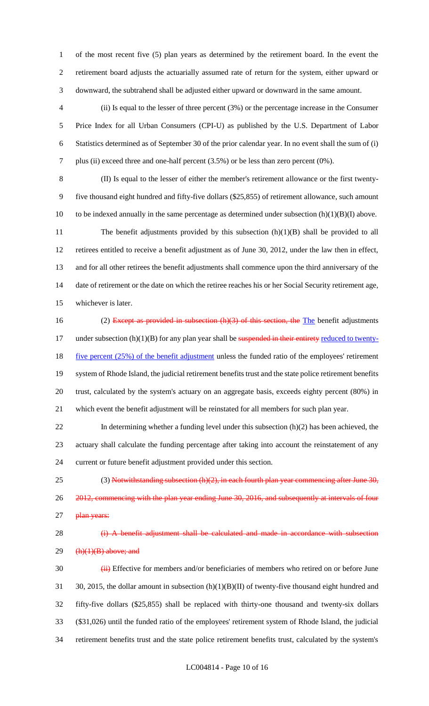of the most recent five (5) plan years as determined by the retirement board. In the event the retirement board adjusts the actuarially assumed rate of return for the system, either upward or downward, the subtrahend shall be adjusted either upward or downward in the same amount.

- (ii) Is equal to the lesser of three percent (3%) or the percentage increase in the Consumer Price Index for all Urban Consumers (CPI-U) as published by the U.S. Department of Labor Statistics determined as of September 30 of the prior calendar year. In no event shall the sum of (i) plus (ii) exceed three and one-half percent (3.5%) or be less than zero percent (0%).
- (II) Is equal to the lesser of either the member's retirement allowance or the first twenty- five thousand eight hundred and fifty-five dollars (\$25,855) of retirement allowance, such amount 10 to be indexed annually in the same percentage as determined under subsection  $(h)(1)(B)(I)$  above. 11 The benefit adjustments provided by this subsection (h)(1)(B) shall be provided to all retirees entitled to receive a benefit adjustment as of June 30, 2012, under the law then in effect, and for all other retirees the benefit adjustments shall commence upon the third anniversary of the 14 date of retirement or the date on which the retiree reaches his or her Social Security retirement age,
- whichever is later.
- 16 (2) Except as provided in subsection (h)(3) of this section, the The benefit adjustments 17 under subsection (h)(1)(B) for any plan year shall be suspended in their entirety reduced to twenty-18 five percent (25%) of the benefit adjustment unless the funded ratio of the employees' retirement system of Rhode Island, the judicial retirement benefits trust and the state police retirement benefits trust, calculated by the system's actuary on an aggregate basis, exceeds eighty percent (80%) in which event the benefit adjustment will be reinstated for all members for such plan year.
- 22 In determining whether a funding level under this subsection (h)(2) has been achieved, the actuary shall calculate the funding percentage after taking into account the reinstatement of any current or future benefit adjustment provided under this section.
- 25 (3) Notwithstanding subsection  $(h)(2)$ , in each fourth plan year commencing after June 30, 2012, commencing with the plan year ending June 30, 2016, and subsequently at intervals of four 27 plan years:

# 28 (i) A benefit adjustment shall be calculated and made in accordance with subsection (h)(1)(B) above; and

30 (iii) Effective for members and/or beneficiaries of members who retired on or before June 31 30, 2015, the dollar amount in subsection (h)(1)(B)(II) of twenty-five thousand eight hundred and fifty-five dollars (\$25,855) shall be replaced with thirty-one thousand and twenty-six dollars (\$31,026) until the funded ratio of the employees' retirement system of Rhode Island, the judicial retirement benefits trust and the state police retirement benefits trust, calculated by the system's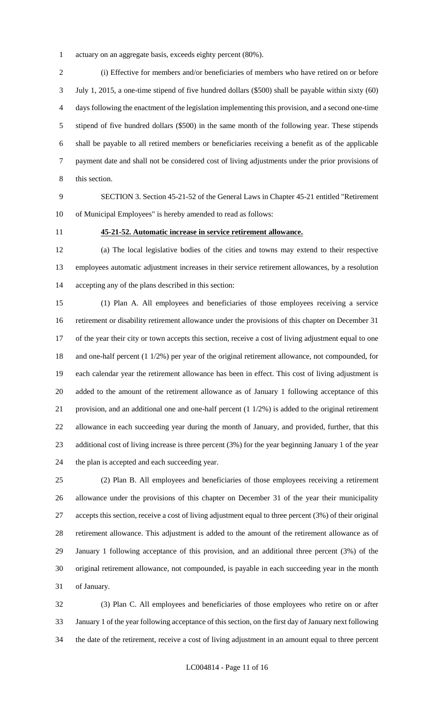actuary on an aggregate basis, exceeds eighty percent (80%).

 (i) Effective for members and/or beneficiaries of members who have retired on or before July 1, 2015, a one-time stipend of five hundred dollars (\$500) shall be payable within sixty (60) days following the enactment of the legislation implementing this provision, and a second one-time stipend of five hundred dollars (\$500) in the same month of the following year. These stipends shall be payable to all retired members or beneficiaries receiving a benefit as of the applicable payment date and shall not be considered cost of living adjustments under the prior provisions of this section.

 SECTION 3. Section 45-21-52 of the General Laws in Chapter 45-21 entitled "Retirement of Municipal Employees" is hereby amended to read as follows:

### **45-21-52. Automatic increase in service retirement allowance.**

 (a) The local legislative bodies of the cities and towns may extend to their respective employees automatic adjustment increases in their service retirement allowances, by a resolution accepting any of the plans described in this section:

 (1) Plan A. All employees and beneficiaries of those employees receiving a service retirement or disability retirement allowance under the provisions of this chapter on December 31 of the year their city or town accepts this section, receive a cost of living adjustment equal to one and one-half percent (1 1/2%) per year of the original retirement allowance, not compounded, for each calendar year the retirement allowance has been in effect. This cost of living adjustment is added to the amount of the retirement allowance as of January 1 following acceptance of this provision, and an additional one and one-half percent (1 1/2%) is added to the original retirement allowance in each succeeding year during the month of January, and provided, further, that this additional cost of living increase is three percent (3%) for the year beginning January 1 of the year the plan is accepted and each succeeding year.

 (2) Plan B. All employees and beneficiaries of those employees receiving a retirement allowance under the provisions of this chapter on December 31 of the year their municipality accepts this section, receive a cost of living adjustment equal to three percent (3%) of their original retirement allowance. This adjustment is added to the amount of the retirement allowance as of January 1 following acceptance of this provision, and an additional three percent (3%) of the original retirement allowance, not compounded, is payable in each succeeding year in the month of January.

 (3) Plan C. All employees and beneficiaries of those employees who retire on or after January 1 of the year following acceptance of this section, on the first day of January next following the date of the retirement, receive a cost of living adjustment in an amount equal to three percent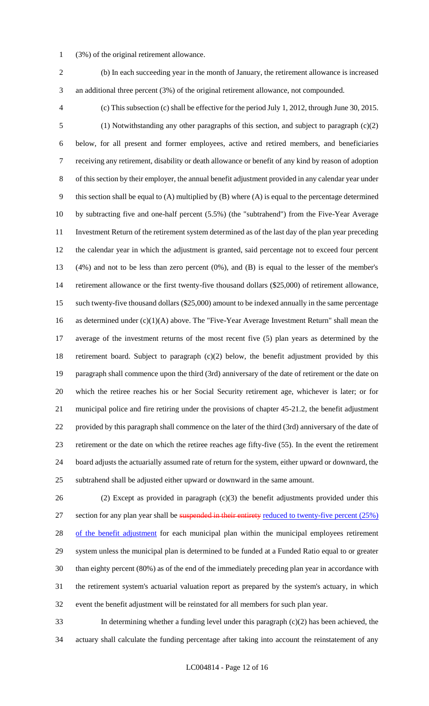- (3%) of the original retirement allowance.
- (b) In each succeeding year in the month of January, the retirement allowance is increased an additional three percent (3%) of the original retirement allowance, not compounded.
- 

 (c) This subsection (c) shall be effective for the period July 1, 2012, through June 30, 2015. (1) Notwithstanding any other paragraphs of this section, and subject to paragraph (c)(2) below, for all present and former employees, active and retired members, and beneficiaries receiving any retirement, disability or death allowance or benefit of any kind by reason of adoption of this section by their employer, the annual benefit adjustment provided in any calendar year under this section shall be equal to (A) multiplied by (B) where (A) is equal to the percentage determined by subtracting five and one-half percent (5.5%) (the "subtrahend") from the Five-Year Average Investment Return of the retirement system determined as of the last day of the plan year preceding the calendar year in which the adjustment is granted, said percentage not to exceed four percent (4%) and not to be less than zero percent (0%), and (B) is equal to the lesser of the member's retirement allowance or the first twenty-five thousand dollars (\$25,000) of retirement allowance, such twenty-five thousand dollars (\$25,000) amount to be indexed annually in the same percentage as determined under (c)(1)(A) above. The "Five-Year Average Investment Return" shall mean the average of the investment returns of the most recent five (5) plan years as determined by the retirement board. Subject to paragraph (c)(2) below, the benefit adjustment provided by this paragraph shall commence upon the third (3rd) anniversary of the date of retirement or the date on which the retiree reaches his or her Social Security retirement age, whichever is later; or for municipal police and fire retiring under the provisions of chapter 45-21.2, the benefit adjustment provided by this paragraph shall commence on the later of the third (3rd) anniversary of the date of retirement or the date on which the retiree reaches age fifty-five (55). In the event the retirement board adjusts the actuarially assumed rate of return for the system, either upward or downward, the subtrahend shall be adjusted either upward or downward in the same amount.

 (2) Except as provided in paragraph (c)(3) the benefit adjustments provided under this 27 section for any plan year shall be suspended in their entirety reduced to twenty-five percent (25%) 28 of the benefit adjustment for each municipal plan within the municipal employees retirement system unless the municipal plan is determined to be funded at a Funded Ratio equal to or greater than eighty percent (80%) as of the end of the immediately preceding plan year in accordance with the retirement system's actuarial valuation report as prepared by the system's actuary, in which event the benefit adjustment will be reinstated for all members for such plan year.

 In determining whether a funding level under this paragraph (c)(2) has been achieved, the actuary shall calculate the funding percentage after taking into account the reinstatement of any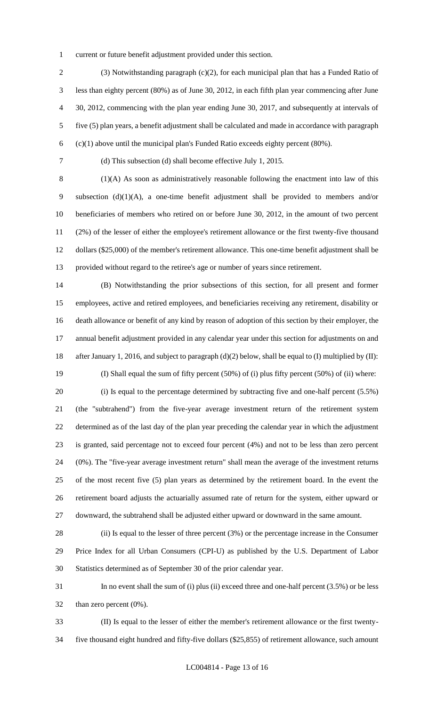current or future benefit adjustment provided under this section.

 (3) Notwithstanding paragraph (c)(2), for each municipal plan that has a Funded Ratio of less than eighty percent (80%) as of June 30, 2012, in each fifth plan year commencing after June 30, 2012, commencing with the plan year ending June 30, 2017, and subsequently at intervals of five (5) plan years, a benefit adjustment shall be calculated and made in accordance with paragraph (c)(1) above until the municipal plan's Funded Ratio exceeds eighty percent (80%).

(d) This subsection (d) shall become effective July 1, 2015.

 (1)(A) As soon as administratively reasonable following the enactment into law of this subsection (d)(1)(A), a one-time benefit adjustment shall be provided to members and/or beneficiaries of members who retired on or before June 30, 2012, in the amount of two percent (2%) of the lesser of either the employee's retirement allowance or the first twenty-five thousand dollars (\$25,000) of the member's retirement allowance. This one-time benefit adjustment shall be provided without regard to the retiree's age or number of years since retirement.

 (B) Notwithstanding the prior subsections of this section, for all present and former employees, active and retired employees, and beneficiaries receiving any retirement, disability or death allowance or benefit of any kind by reason of adoption of this section by their employer, the annual benefit adjustment provided in any calendar year under this section for adjustments on and after January 1, 2016, and subject to paragraph (d)(2) below, shall be equal to (I) multiplied by (II): (I) Shall equal the sum of fifty percent (50%) of (i) plus fifty percent (50%) of (ii) where: (i) Is equal to the percentage determined by subtracting five and one-half percent (5.5%) (the "subtrahend") from the five-year average investment return of the retirement system determined as of the last day of the plan year preceding the calendar year in which the adjustment is granted, said percentage not to exceed four percent (4%) and not to be less than zero percent (0%). The "five-year average investment return" shall mean the average of the investment returns of the most recent five (5) plan years as determined by the retirement board. In the event the

 retirement board adjusts the actuarially assumed rate of return for the system, either upward or downward, the subtrahend shall be adjusted either upward or downward in the same amount.

 (ii) Is equal to the lesser of three percent (3%) or the percentage increase in the Consumer Price Index for all Urban Consumers (CPI-U) as published by the U.S. Department of Labor Statistics determined as of September 30 of the prior calendar year.

 In no event shall the sum of (i) plus (ii) exceed three and one-half percent (3.5%) or be less than zero percent (0%).

 (II) Is equal to the lesser of either the member's retirement allowance or the first twenty-five thousand eight hundred and fifty-five dollars (\$25,855) of retirement allowance, such amount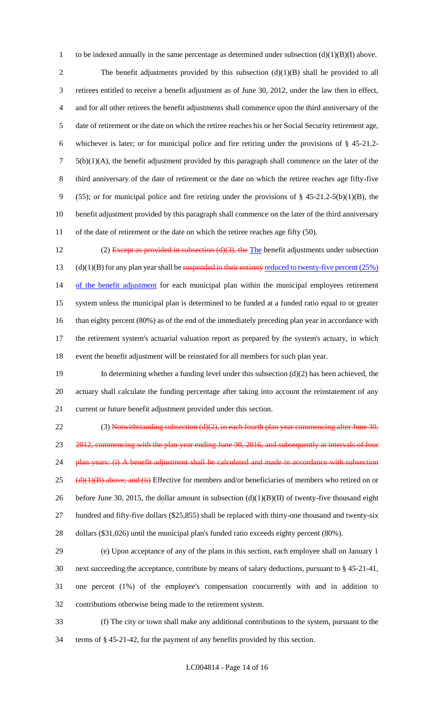1 to be indexed annually in the same percentage as determined under subsection  $(d)(1)(B)(I)$  above.

2 The benefit adjustments provided by this subsection (d)(1)(B) shall be provided to all 3 retirees entitled to receive a benefit adjustment as of June 30, 2012, under the law then in effect, 4 and for all other retirees the benefit adjustments shall commence upon the third anniversary of the 5 date of retirement or the date on which the retiree reaches his or her Social Security retirement age, 6 whichever is later; or for municipal police and fire retiring under the provisions of § 45-21.2-  $7\quad 5(b)(1)(A)$ , the benefit adjustment provided by this paragraph shall commence on the later of the 8 third anniversary of the date of retirement or the date on which the retiree reaches age fifty-five 9 (55); or for municipal police and fire retiring under the provisions of  $\S$  45-21.2-5(b)(1)(B), the 10 benefit adjustment provided by this paragraph shall commence on the later of the third anniversary 11 of the date of retirement or the date on which the retiree reaches age fifty (50).

12 (2) Except as provided in subsection  $(d)(3)$ , the The benefit adjustments under subsection 13 (d)(1)(B) for any plan year shall be suspended in their entirety reduced to twenty-five percent  $(25%)$ 14 of the benefit adjustment for each municipal plan within the municipal employees retirement 15 system unless the municipal plan is determined to be funded at a funded ratio equal to or greater 16 than eighty percent (80%) as of the end of the immediately preceding plan year in accordance with 17 the retirement system's actuarial valuation report as prepared by the system's actuary, in which 18 event the benefit adjustment will be reinstated for all members for such plan year.

19 In determining whether a funding level under this subsection (d)(2) has been achieved, the 20 actuary shall calculate the funding percentage after taking into account the reinstatement of any 21 current or future benefit adjustment provided under this section.

22 (3) Notwithstanding subsection  $(d)(2)$ , in each fourth plan year commencing after June 30, 23 2012, commencing with the plan year ending June 30, 2016, and subsequently at intervals of four 24 plan years: (i) A benefit adjustment shall be calculated and made in accordance with subsection 25 ( $\frac{d}{d}$ )(1)(B) above; and (ii) Effective for members and/or beneficiaries of members who retired on or 26 before June 30, 2015, the dollar amount in subsection  $(d)(1)(B)(II)$  of twenty-five thousand eight 27 hundred and fifty-five dollars (\$25,855) shall be replaced with thirty-one thousand and twenty-six 28 dollars (\$31,026) until the municipal plan's funded ratio exceeds eighty percent (80%).

 (e) Upon acceptance of any of the plans in this section, each employee shall on January 1 next succeeding the acceptance, contribute by means of salary deductions, pursuant to § 45-21-41, one percent (1%) of the employee's compensation concurrently with and in addition to contributions otherwise being made to the retirement system.

33 (f) The city or town shall make any additional contributions to the system, pursuant to the 34 terms of § 45-21-42, for the payment of any benefits provided by this section.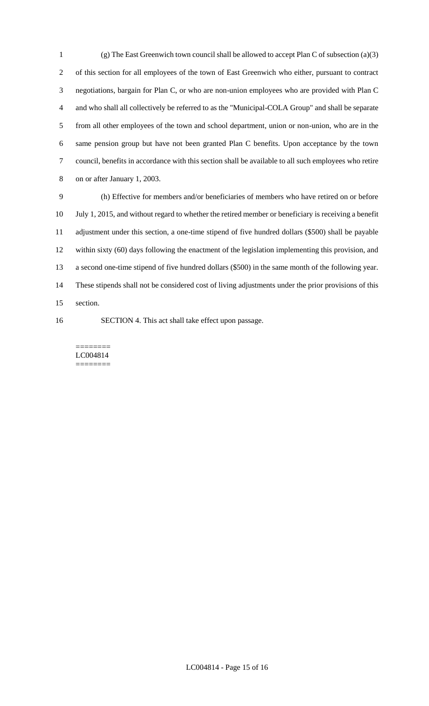(g) The East Greenwich town council shall be allowed to accept Plan C of subsection (a)(3) of this section for all employees of the town of East Greenwich who either, pursuant to contract negotiations, bargain for Plan C, or who are non-union employees who are provided with Plan C and who shall all collectively be referred to as the "Municipal-COLA Group" and shall be separate from all other employees of the town and school department, union or non-union, who are in the same pension group but have not been granted Plan C benefits. Upon acceptance by the town council, benefits in accordance with this section shall be available to all such employees who retire on or after January 1, 2003.

 (h) Effective for members and/or beneficiaries of members who have retired on or before July 1, 2015, and without regard to whether the retired member or beneficiary is receiving a benefit adjustment under this section, a one-time stipend of five hundred dollars (\$500) shall be payable within sixty (60) days following the enactment of the legislation implementing this provision, and a second one-time stipend of five hundred dollars (\$500) in the same month of the following year. These stipends shall not be considered cost of living adjustments under the prior provisions of this section.

SECTION 4. This act shall take effect upon passage.

======== LC004814 ========